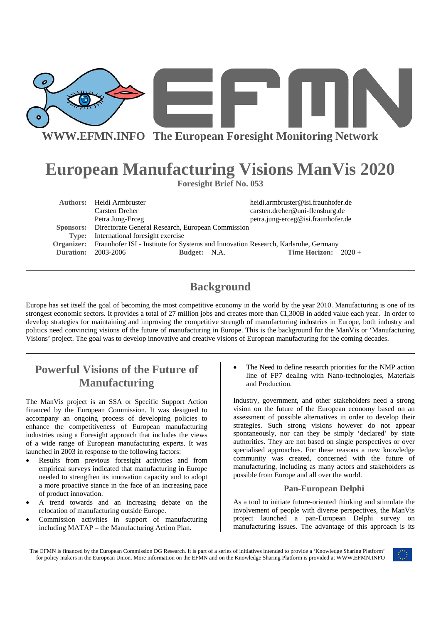

**WWW.EFMN.INFO The European Foresight Monitoring Network**

# **European Manufacturing Visions ManVis 2020**

**Foresight Brief No. 053** 

|       | <b>Authors:</b> Heidi Armbruster<br>Carsten Dreher                                            | heidi.armbruster@isi.fraunhofer.de<br>carsten.dreher@uni-flensburg.de |
|-------|-----------------------------------------------------------------------------------------------|-----------------------------------------------------------------------|
|       | Petra Jung-Erceg                                                                              | petra.jung-erceg@isi.fraunhofer.de                                    |
|       | Sponsors: Directorate General Research, European Commission                                   |                                                                       |
| Type: | International foresight exercise                                                              |                                                                       |
|       | Organizer: Fraunhofer ISI - Institute for Systems and Innovation Research, Karlsruhe, Germany |                                                                       |
|       | <b>Duration: 2003-2006</b><br>Budget: N.A.                                                    | <b>Time Horizon:</b> $2020 +$                                         |

## **Background**

Europe has set itself the goal of becoming the most competitive economy in the world by the year 2010. Manufacturing is one of its strongest economic sectors. It provides a total of 27 million jobs and creates more than €1,300B in added value each year. In order to develop strategies for maintaining and improving the competitive strength of manufacturing industries in Europe, both industry and politics need convincing visions of the future of manufacturing in Europe. This is the background for the ManVis or 'Manufacturing Visions' project. The goal was to develop innovative and creative visions of European manufacturing for the coming decades.

## **Powerful Visions of the Future of Manufacturing**

The ManVis project is an SSA or Specific Support Action financed by the European Commission. It was designed to accompany an ongoing process of developing policies to enhance the competitiveness of European manufacturing industries using a Foresight approach that includes the views of a wide range of European manufacturing experts. It was launched in 2003 in response to the following factors:

- Results from previous foresight activities and from empirical surveys indicated that manufacturing in Europe needed to strengthen its innovation capacity and to adopt a more proactive stance in the face of an increasing pace of product innovation.
- A trend towards and an increasing debate on the relocation of manufacturing outside Europe.
- Commission activities in support of manufacturing including MATAP – the Manufacturing Action Plan.

The Need to define research priorities for the NMP action line of FP7 dealing with Nano-technologies, Materials and Production.

Industry, government, and other stakeholders need a strong vision on the future of the European economy based on an assessment of possible alternatives in order to develop their strategies. Such strong visions however do not appear spontaneously, nor can they be simply 'declared' by state authorities. They are not based on single perspectives or over specialised approaches. For these reasons a new knowledge community was created, concerned with the future of manufacturing, including as many actors and stakeholders as possible from Europe and all over the world.

## **Pan-European Delphi**

As a tool to initiate future-oriented thinking and stimulate the involvement of people with diverse perspectives, the ManVis project launched a pan-European Delphi survey on manufacturing issues. The advantage of this approach is its

The EFMN is financed by the European Commission DG Research. It is part of a series of initiatives intended to provide a 'Knowledge Sharing Platform' for policy makers in the European Union. More information on the EFMN and on the Knowledge Sharing Platform is provided at WWW.EFMN.INFO

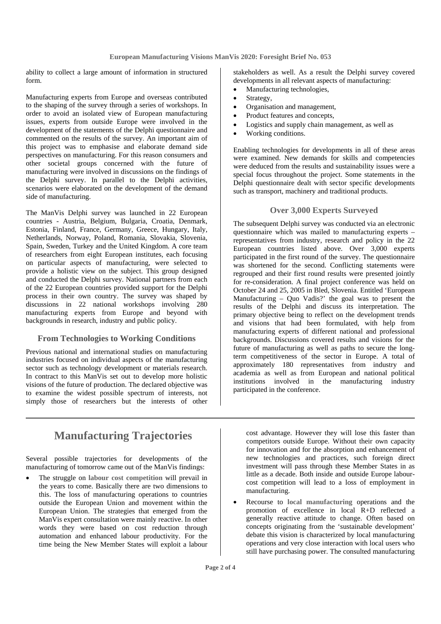ability to collect a large amount of information in structured form.

Manufacturing experts from Europe and overseas contributed to the shaping of the survey through a series of workshops. In order to avoid an isolated view of European manufacturing issues, experts from outside Europe were involved in the development of the statements of the Delphi questionnaire and commented on the results of the survey. An important aim of this project was to emphasise and elaborate demand side perspectives on manufacturing. For this reason consumers and other societal groups concerned with the future of manufacturing were involved in discussions on the findings of the Delphi survey. In parallel to the Delphi activities, scenarios were elaborated on the development of the demand side of manufacturing.

The ManVis Delphi survey was launched in 22 European countries - Austria, Belgium, Bulgaria, Croatia, Denmark, Estonia, Finland, France, Germany, Greece, Hungary, Italy, Netherlands, Norway, Poland, Romania, Slovakia, Slovenia, Spain, Sweden, Turkey and the United Kingdom. A core team of researchers from eight European institutes, each focusing on particular aspects of manufacturing, were selected to provide a holistic view on the subject. This group designed and conducted the Delphi survey. National partners from each of the 22 European countries provided support for the Delphi process in their own country. The survey was shaped by discussions in 22 national workshops involving 280 manufacturing experts from Europe and beyond with backgrounds in research, industry and public policy.

## **From Technologies to Working Conditions**

Previous national and international studies on manufacturing industries focused on individual aspects of the manufacturing sector such as technology development or materials research. In contract to this ManVis set out to develop more holistic visions of the future of production. The declared objective was to examine the widest possible spectrum of interests, not simply those of researchers but the interests of other

stakeholders as well. As a result the Delphi survey covered developments in all relevant aspects of manufacturing:

- Manufacturing technologies,
- Strategy,
- Organisation and management,
- Product features and concepts,
- Logistics and supply chain management, as well as
- Working conditions.

Enabling technologies for developments in all of these areas were examined. New demands for skills and competencies were deduced from the results and sustainability issues were a special focus throughout the project. Some statements in the Delphi questionnaire dealt with sector specific developments such as transport, machinery and traditional products.

### **Over 3,000 Experts Surveyed**

The subsequent Delphi survey was conducted via an electronic questionnaire which was mailed to manufacturing experts – representatives from industry, research and policy in the 22 European countries listed above. Over 3,000 experts participated in the first round of the survey. The questionnaire was shortened for the second. Conflicting statements were regrouped and their first round results were presented jointly for re-consideration. A final project conference was held on October 24 and 25, 2005 in Bled, Slovenia. Entitled 'European Manufacturing – Quo Vadis?' the goal was to present the results of the Delphi and discuss its interpretation. The primary objective being to reflect on the development trends and visions that had been formulated, with help from manufacturing experts of different national and professional backgrounds. Discussions covered results and visions for the future of manufacturing as well as paths to secure the longterm competitiveness of the sector in Europe. A total of approximately 180 representatives from industry and academia as well as from European and national political institutions involved in the manufacturing industry participated in the conference.

## **Manufacturing Trajectories**

Several possible trajectories for developments of the manufacturing of tomorrow came out of the ManVis findings:

• The struggle on **labour cost competition** will prevail in the years to come. Basically there are two dimensions to this. The loss of manufacturing operations to countries outside the European Union and movement within the European Union. The strategies that emerged from the ManVis expert consultation were mainly reactive. In other words they were based on cost reduction through automation and enhanced labour productivity. For the time being the New Member States will exploit a labour cost advantage. However they will lose this faster than competitors outside Europe. Without their own capacity for innovation and for the absorption and enhancement of new technologies and practices, such foreign direct investment will pass through these Member States in as little as a decade. Both inside and outside Europe labourcost competition will lead to a loss of employment in manufacturing.

• Recourse to **local manufacturing** operations and the promotion of excellence in local R+D reflected a generally reactive attitude to change. Often based on concepts originating from the 'sustainable development' debate this vision is characterized by local manufacturing operations and very close interaction with local users who still have purchasing power. The consulted manufacturing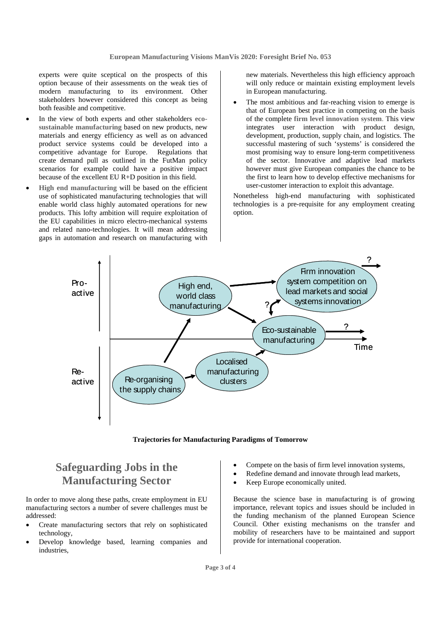experts were quite sceptical on the prospects of this option because of their assessments on the weak ties of modern manufacturing to its environment. Other stakeholders however considered this concept as being both feasible and competitive.

- In the view of both experts and other stakeholders eco**sustainable manufacturing** based on new products, new materials and energy efficiency as well as on advanced product service systems could be developed into a competitive advantage for Europe. Regulations that create demand pull as outlined in the FutMan policy scenarios for example could have a positive impact because of the excellent EU R+D position in this field.
- **High end manufacturing** will be based on the efficient use of sophisticated manufacturing technologies that will enable world class highly automated operations for new products. This lofty ambition will require exploitation of the EU capabilities in micro electro-mechanical systems and related nano-technologies. It will mean addressing gaps in automation and research on manufacturing with

new materials. Nevertheless this high efficiency approach will only reduce or maintain existing employment levels in European manufacturing.

The most ambitious and far-reaching vision to emerge is that of European best practice in competing on the basis of the complete **firm level innovation system**. This view integrates user interaction with product design, development, production, supply chain, and logistics. The successful mastering of such 'systems' is considered the most promising way to ensure long-term competitiveness of the sector. Innovative and adaptive lead markets however must give European companies the chance to be the first to learn how to develop effective mechanisms for user-customer interaction to exploit this advantage.

Nonetheless high-end manufacturing with sophisticated technologies is a pre-requisite for any employment creating option.



**Trajectories for Manufacturing Paradigms of Tomorrow** 

## **Safeguarding Jobs in the Manufacturing Sector**

In order to move along these paths, create employment in EU manufacturing sectors a number of severe challenges must be addressed:

- Create manufacturing sectors that rely on sophisticated technology,
- Develop knowledge based, learning companies and industries,
- Compete on the basis of firm level innovation systems,
- Redefine demand and innovate through lead markets,
- Keep Europe economically united.

Because the science base in manufacturing is of growing importance, relevant topics and issues should be included in the funding mechanism of the planned European Science Council. Other existing mechanisms on the transfer and mobility of researchers have to be maintained and support provide for international cooperation.